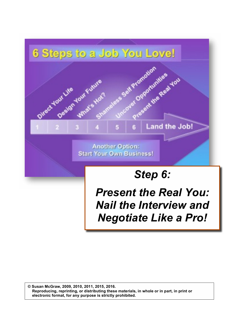

*Present the Real You: Nail the Interview and Negotiate Like a Pro!*

**© Susan McGraw, 2009, 2010, 2011, 2015, 2016. Reproducing, reprinting, or distributing these materials, in whole or in part, in print or electronic format, for any purpose is strictly prohibited.**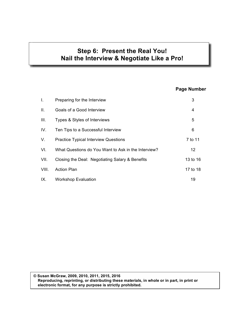## **Step 6: Present the Real You! Nail the Interview & Negotiate Like a Pro!**

### **Page Number**

| Ι.              | Preparing for the Interview                         | 3               |
|-----------------|-----------------------------------------------------|-----------------|
| $\mathbf{II}$ . | Goals of a Good Interview                           | 4               |
| III.            | Types & Styles of Interviews                        | 5               |
| IV.             | Ten Tips to a Successful Interview                  | 6               |
| V.              | <b>Practice Typical Interview Questions</b>         | 7 to 11         |
| VI.             | What Questions do You Want to Ask in the Interview? | 12 <sup>°</sup> |
| VII.            | Closing the Deal: Negotiating Salary & Benefits     | 13 to 16        |
| VIII.           | <b>Action Plan</b>                                  | 17 to 18        |
| IX.             | <b>Workshop Evaluation</b>                          | 19              |

© Susan McGraw, 2009, 2010, 2011, 2015, 2016 Reproducing, reprinting, or distributing these materials, in whole or in part, in print or  **electronic format, for any purpose is strictly prohibited.**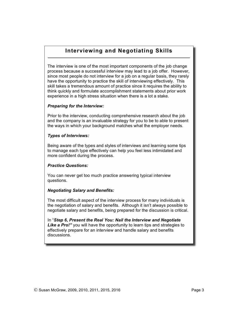### **Interviewing and Negotiating Skills**

The interview is one of the most important components of the job change process because a successful interview may lead to a job offer. However, since most people do not interview for a job on a regular basis, they rarely have the opportunity to practice the skill of interviewing effectively. This skill takes a tremendous amount of practice since it requires the ability to think quickly and formulate accomplishment statements about prior work experience in a high stress situation when there is a lot a stake.

#### *Preparing for the Interview:*

Prior to the interview, conducting comprehensive research about the job and the company is an invaluable strategy for you to be to able to present the ways in which your background matches what the employer needs.

#### *Types of Interviews:*

Being aware of the types and styles of interviews and learning some tips to manage each type effectively can help you feel less intimidated and more confident during the process.

#### *Practice Questions:*

You can never get too much practice answering typical interview questions.

#### *Negotiating Salary and Benefits:*

The most difficult aspect of the interview process for many individuals is the negotiation of salary and benefits. Although it isn't always possible to negotiate salary and benefits, being prepared for the discussion is critical.

In "*Step 6, Present the Real You: Nail the Interview and Negotiate* **Like a Pro!**" you will have the opportunity to learn tips and strategies to effectively prepare for an interview and handle salary and benefits discussions.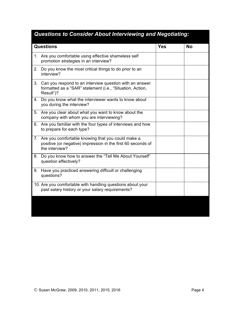| Questions to Consider About Interviewing and Negotiating: |                                                                                                                                     |  |           |
|-----------------------------------------------------------|-------------------------------------------------------------------------------------------------------------------------------------|--|-----------|
| <b>Questions</b>                                          |                                                                                                                                     |  | <b>No</b> |
|                                                           | 1. Are you comfortable using effective shameless self<br>promotion strategies in an interview?                                      |  |           |
| 2.                                                        | Do you know the most critical things to do prior to an<br>interview?                                                                |  |           |
| 3.                                                        | Can you respond to an interview question with an answer<br>formatted as a "SAR" statement (i.e., "Situation, Action,<br>Result")?   |  |           |
| 4.                                                        | Do you know what the interviewer wants to know about<br>you during the interview?                                                   |  |           |
| 5.                                                        | Are you clear about what you want to know about the<br>company with whom you are interviewing?                                      |  |           |
| 6.                                                        | Are you familiar with the four types of interviews and how<br>to prepare for each type?                                             |  |           |
| 7 <sub>1</sub>                                            | Are you comfortable knowing that you could make a<br>positive (or negative) impression in the first 60 seconds of<br>the interview? |  |           |
| 8.                                                        | Do you know how to answer the "Tell Me About Yourself"<br>question effectively?                                                     |  |           |
| 9.                                                        | Have you practiced answering difficult or challenging<br>questions?                                                                 |  |           |
|                                                           | 10. Are you comfortable with handling questions about your<br>past salary history or your salary requirements?                      |  |           |
|                                                           |                                                                                                                                     |  |           |

### *Questions to Consider About Interviewing and Negotiating:*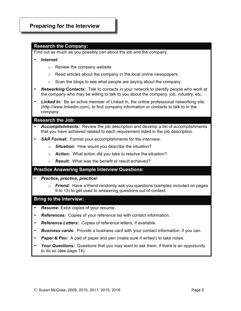### **Preparing for the Interview**

#### **Research the Company:**

Find out as much as you possibly can about the job and the company.

- *Internet:* 
	- o Review the company website
	- o Read articles about the company in the local online newspapers.
	- $\circ$  Scan the blogs to see what people are saying about the company.
- *Networking Contacts:* Talk to contacts in your network to identify people who work at the company who may be willing to talk to you about the company, job, industry, etc.
- **Linked In:** Be an active member of Linked In, the online professional networking site (http://www.linkedin.com), to find company information or contacts to talk to in the company.

#### **Research the Job:**

- *Accomplishments:* Review the job description and develop a list of accomplishments that you have achieved related to each requirement listed in the job description.
- **SAR Format:** Format your accomplishments for the interview:
	- o *Situation:* How would you describe the situation?
	- o *Action:* What action did you take to resolve the situation?
	- o *Result:* What was the benefit or result achieved?

#### **Practice Answering Sample Interview Questions:**

- *Practice, practice, practice!*
	- o *Friend:* Have a friend randomly ask you questions (samples included on pages 9 to 13) to get used to answering questions out of context.

#### **Bring to the Interview:**

- *Resume:* Extra copies of your resume.
- *References:* Copies of your reference list with contact information.
- *Reference Letters:* Copies of reference letters, if available.
- **Business cards:** Provide a business card with your contact information, if you can.
- **Paper & Pen:** A pad of paper and pen (make sure it writes!) to take notes.
- *Your Questions:* Questions that you may want to ask them, if there is an opportunity to do so (see page 14).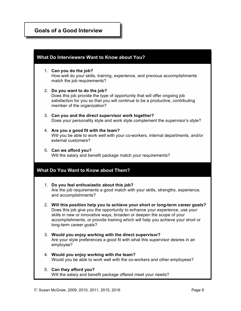## **Goals of a Good Interview**

| What Do Interviewers Want to Know about You? |                                                                                                                                                                                                                                                                                                                                                      |  |
|----------------------------------------------|------------------------------------------------------------------------------------------------------------------------------------------------------------------------------------------------------------------------------------------------------------------------------------------------------------------------------------------------------|--|
|                                              | 1. Can you do the job?<br>How well do your skills, training, experience, and previous accomplishments<br>match the job requirements?                                                                                                                                                                                                                 |  |
|                                              | 2. Do you want to do the job?<br>Does this job provide the type of opportunity that will offer ongoing job<br>satisfaction for you so that you will continue to be a productive, contributing<br>member of the organization?                                                                                                                         |  |
|                                              | 3. Can you and the direct supervisor work together?<br>Does your personality style and work style complement the supervisor's style?                                                                                                                                                                                                                 |  |
|                                              | 4. Are you a good fit with the team?<br>Will you be able to work well with your co-workers, internal departments, and/or<br>external customers?                                                                                                                                                                                                      |  |
|                                              | 5. Can we afford you?<br>Will the salary and benefit package match your requirements?                                                                                                                                                                                                                                                                |  |
|                                              | <b>What Do You Want to Know about Them?</b>                                                                                                                                                                                                                                                                                                          |  |
|                                              | 1. Do you feel enthusiastic about this job?<br>Are the job requirements a good match with your skills, strengths, experience,<br>and accomplishments?                                                                                                                                                                                                |  |
|                                              | 2. Will this position help you to achieve your short or long-term career goals?<br>Does this job give you the opportunity to enhance your experience, use your<br>skills in new or innovative ways, broaden or deepen the scope of your<br>accomplishments, or provide training which will help you achieve your short or<br>long-term career goals? |  |
|                                              | 3. Would you enjoy working with the direct supervisor?<br>Are your style preferences a good fit with what this supervisor desires in an<br>employee?                                                                                                                                                                                                 |  |
|                                              | 4. Would you enjoy working with the team?<br>Would you be able to work well with the co-workers and other employees?                                                                                                                                                                                                                                 |  |
|                                              | 5. Can they afford you?<br>Will the salary and benefit package offered meet your needs?                                                                                                                                                                                                                                                              |  |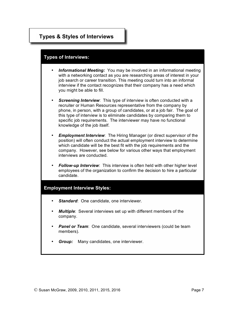## **Types & Styles of Interviews**

## **Types of Interviews: Types of Interviews:**

- *Informational Meeting:* You may be involved in an informational meeting with a networking contact as you are researching areas of interest in your job search or career transition. This meeting could turn into an informal interview if the contact recognizes that their company has a need which you might be able to fill.
- **Screening Interview**: This type of interview is often conducted with a recruiter or Human Resources representative from the company by phone, in person, with a group of candidates, or at a job fair. The goal of this type of interview is to eliminate candidates by comparing them to specific job requirements. The interviewer may have no functional knowledge of the job itself.
- *Employment Interview*: The Hiring Manager (or direct supervisor of the position) will often conduct the actual employment interview to determine which candidate will be the best fit with the job requirements and the company. However, see below for various other ways that employment interviews are conducted.
- *Follow-up Interview*: This interview is often held with other higher level employees of the organization to confirm the decision to hire a particular candidate.

## **Employment Interview Styles: Employment Interview Styles:**

- **Standard:** One candidate, one interviewer.
- *Multiple*: Several interviews set up with different members of the company.
- **Panel or Team:** One candidate, several interviewers (could be team members).
- **Group:** Many candidates, one interviewer.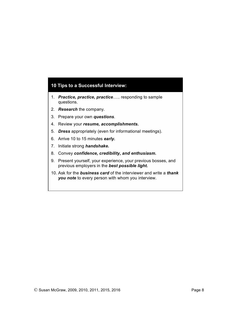## **10 Tips to a Successful Interview: 10 Tips to a Successful Interview:**

- 1. *Practice, practice, practice*….. responding to sample questions.
- 2. *Research* the company.
- 3. Prepare your own *questions*.
- 4. Review your *resume, accomplishments.*
- 5. *Dress* appropriately (even for informational meetings).
- 6. Arrive 10 to 15 minutes *early.*
- 7. Initiate strong *handshake.*
- 8. Convey *confidence, credibility, and enthusiasm.*
- 9. Present yourself, your experience, your previous bosses, and previous employers in the *best possible light.*
- 10. Ask for the *business card* of the interviewer and write a *thank you note* to every person with whom you interview.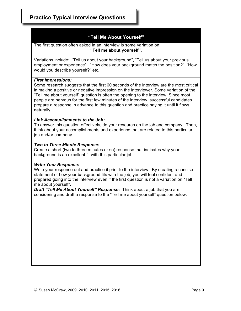### **"Tell Me About Yourself"**

#### The first question often asked in an interview is some variation on: **"Tell me about yourself".**

Variations include: "Tell us about your background", "Tell us about your previous employment or experience". "How does your background match the position?", "How would you describe yourself?" etc.

#### *First Impressions:*

Some research suggests that the first 60 seconds of the interview are the most critical in making a positive or negative impression on the interviewer. Some variation of the "Tell me about yourself" question is often the opening to the interview. Since most people are nervous for the first few minutes of the interview, successful candidates prepare a response in advance to this question and practice saying it until it flows naturally.

#### *Link Accomplishments to the Job:*

To answer this question effectively, do your research on the job and company. Then, think about your accomplishments and experience that are related to this particular job and/or company.

#### *Two to Three Minute Response:*

Create a short (two to three minutes or so) response that indicates why your background is an excellent fit with this particular job.

#### *Write Your Response:*

Write your response out and practice it prior to the interview. By creating a concise statement of how your background fits with the job, you will feel confident and prepared going into the interview even if the first question is not a variation on "Tell me about yourself".

*Draft "Tell Me About Yourself" Response:* Think about a job that you are considering and draft a response to the "Tell me about yourself" question below: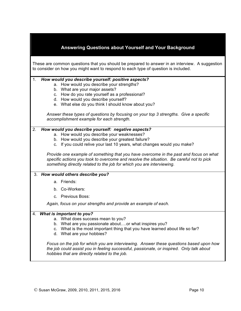|    | Answering Questions about Yourself and Your Background                                                                                                                                                                                                                                                                                                                                                                                                                                       |
|----|----------------------------------------------------------------------------------------------------------------------------------------------------------------------------------------------------------------------------------------------------------------------------------------------------------------------------------------------------------------------------------------------------------------------------------------------------------------------------------------------|
|    | These are common questions that you should be prepared to answer in an interview. A suggestion<br>to consider on how you might want to respond to each type of question is included.                                                                                                                                                                                                                                                                                                         |
| 1. | How would you describe yourself: positive aspects?<br>a. How would you describe your strengths?<br>b. What are your major assets?<br>c. How do you rate yourself as a professional?<br>d. How would you describe yourself?<br>e. What else do you think I should know about you?<br>Answer these types of questions by focusing on your top 3 strengths. Give a specific<br>accomplishment example for each strength.                                                                        |
| 2. | How would you describe yourself: negative aspects?<br>a. How would you describe your weaknesses?<br>b. How would you describe your greatest failure?<br>c. If you could relive your last 10 years, what changes would you make?<br>Provide one example of something that you have overcome in the past and focus on what<br>specific actions you took to overcome and resolve the situation. Be careful not to pick<br>something directly related to the job for which you are interviewing. |
|    | 3. How would others describe you?                                                                                                                                                                                                                                                                                                                                                                                                                                                            |
|    | a. Friends:                                                                                                                                                                                                                                                                                                                                                                                                                                                                                  |
|    | b. Co-Workers:                                                                                                                                                                                                                                                                                                                                                                                                                                                                               |
|    | c. Previous Boss:                                                                                                                                                                                                                                                                                                                                                                                                                                                                            |
|    | Again, focus on your strengths and provide an example of each.                                                                                                                                                                                                                                                                                                                                                                                                                               |
|    | 4. What is important to you?<br>a. What does success mean to you?<br>b. What are you passionate aboutor what inspires you?<br>c. What is the most important thing that you have learned about life so far?<br>d. What are your hobbies?<br>Focus on the job for which you are interviewing. Answer these questions based upon how<br>the job could assist you in feeling successful, passionate, or inspired. Only talk about<br>hobbies that are directly related to the job.               |

 $\blacksquare$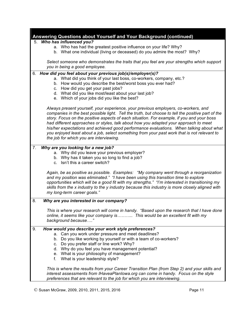|    | Answering Questions about Yourself and Your Background (continued)                                   |
|----|------------------------------------------------------------------------------------------------------|
|    | 5. Who has influenced you?                                                                           |
|    | a. Who has had the greatest positive influence on your life? Why?                                    |
|    | b. What one individual (living or deceased) do you admire the most? Why?                             |
|    |                                                                                                      |
|    | Select someone who demonstrates the traits that you feel are your strengths which support            |
|    | you in being a good employee.                                                                        |
| 6. | How did you feel about your previous job(s)/employer(s)?                                             |
|    | a. What did you think of your last boss, co-workers, company, etc.?                                  |
|    | b. How would you describe the best/worst boss you ever had?                                          |
|    | c. How did you get your past jobs?                                                                   |
|    | d. What did you like most/least about your last job?<br>e. Which of your jobs did you like the best? |
|    |                                                                                                      |
|    | Always present yourself, your experience, your previous employers, co-workers, and                   |
|    | companies in the best possible light. Tell the truth, but choose to tell the positive part of the    |
|    | story. Focus on the positive aspects of each situation. For example, if you and your boss            |
|    | had different approaches or styles, talk about how you adapted your approach to meet                 |
|    | his/her expectations and achieved good performance evaluations. When talking about what              |
|    | you enjoyed least about a job, select something from your past work that is not relevant to          |
|    | the job for which you are interviewing.                                                              |
| 7. | Why are you looking for a new job?                                                                   |
|    | a. Why did you leave your previous employer?                                                         |
|    | b. Why has it taken you so long to find a job?                                                       |
|    | c. Isn't this a career switch?                                                                       |
|    |                                                                                                      |
|    | Again, be as positive as possible. Examples: "My company went through a reorganization               |
|    | and my position was eliminated." "I have been using this transition time to explore                  |
|    | opportunities which will be a good fit with my strengths." "I'm interested in transitioning my       |
|    | skills from the x industry to the y industry because this industry is more closely aligned with      |
|    | my long-term career goals."                                                                          |
| 8. | Why are you interested in our company?                                                               |
|    |                                                                                                      |
|    | This is where your research will come in handy. "Based upon the research that I have done            |
|    | online, it seems like your company is This would be an excellent fit with my                         |
|    | background because"                                                                                  |
| 9. | How would you describe your work style preferences?                                                  |
|    | a. Can you work under pressure and meet deadlines?                                                   |
|    | b. Do you like working by yourself or with a team of co-workers?                                     |
|    | c. Do you prefer staff or line work? Why?                                                            |
|    | d. Why do you feel you have management potential?                                                    |
|    | e. What is your philosophy of management?                                                            |
|    | What is your leadership style?<br>f.                                                                 |
|    | This is where the results from your Career Transition Plan (from Step 2) and your skills and         |
|    | interest assessments from IHaveaPlanlowa.org can come in handy. Focus on the style                   |
|    | preferences that are relevant to the job for which you are interviewing.                             |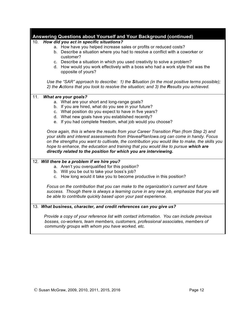| Answering Questions about Yourself and Your Background (continued) |                                                                                                                                                                                        |  |
|--------------------------------------------------------------------|----------------------------------------------------------------------------------------------------------------------------------------------------------------------------------------|--|
| 10.                                                                | How did you act in specific situations?                                                                                                                                                |  |
|                                                                    | a. How have you helped increase sales or profits or reduced costs?                                                                                                                     |  |
|                                                                    | b. Describe a situation where you had to resolve a conflict with a coworker or<br>customer?                                                                                            |  |
|                                                                    | c. Describe a situation in which you used creativity to solve a problem?                                                                                                               |  |
|                                                                    | d. How would you work effectively with a boss who had a work style that was the                                                                                                        |  |
|                                                                    | opposite of yours?                                                                                                                                                                     |  |
|                                                                    | Use the "SAR" approach to describe: 1) the Situation (in the most positive terms possible);                                                                                            |  |
|                                                                    | 2) the Actions that you took to resolve the situation; and 3) the Results you achieved.                                                                                                |  |
| 11.                                                                | <b>What are your goals?</b>                                                                                                                                                            |  |
|                                                                    | a. What are your short and long-range goals?<br>b. If you are hired, what do you see in your future?                                                                                   |  |
|                                                                    | c. What position do you expect to have in five years?                                                                                                                                  |  |
|                                                                    | d. What new goals have you established recently?                                                                                                                                       |  |
|                                                                    | e. If you had complete freedom, what job would you choose?                                                                                                                             |  |
|                                                                    |                                                                                                                                                                                        |  |
|                                                                    | Once again, this is where the results from your Career Transition Plan (from Step 2) and<br>your skills and interest assessments from IHaveaPlanlowa.org can come in handy. Focus      |  |
|                                                                    | on the strengths you want to cultivate, the contribution you would like to make, the skills you<br>hope to enhance, the education and training that you would like to pursue which are |  |
|                                                                    | directly related to the position for which you are interviewing.                                                                                                                       |  |
|                                                                    | 12. Will there be a problem if we hire you?                                                                                                                                            |  |
|                                                                    | a. Aren't you overqualified for this position?                                                                                                                                         |  |
|                                                                    | b. Will you be out to take your boss's job?                                                                                                                                            |  |
|                                                                    | c. How long would it take you to become productive in this position?                                                                                                                   |  |
|                                                                    | Focus on the contribution that you can make to the organization's current and future                                                                                                   |  |
|                                                                    | success. Though there is always a learning curve in any new job, emphasize that you will                                                                                               |  |
|                                                                    | be able to contribute quickly based upon your past experience.                                                                                                                         |  |
|                                                                    | 13. What business, character, and credit references can you give us?                                                                                                                   |  |
|                                                                    | Provide a copy of your reference list with contact information. You can include previous                                                                                               |  |
|                                                                    | bosses, co-workers, team members, customers, professional associates, members of<br>community groups with whom you have worked, etc.                                                   |  |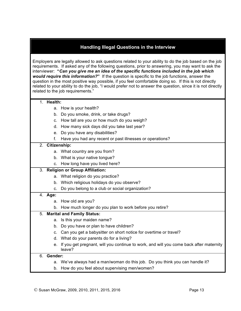### **Handling Illegal Questions in the Interview**

Employers are legally allowed to ask questions related to your ability to do the job based on the job requirements. If asked any of the following questions, prior to answering, you may want to ask the interviewer: **"***Can you give me an idea of the specific functions included in the job which would require this information?***"** If the question is specific to the job functions, answer the question in the most positive way possible, if you feel comfortable doing so. If this is not directly related to your ability to do the job, "I would prefer not to answer the question, since it is not directly related to the job requirements."

|  | Health:         |                                                             |
|--|-----------------|-------------------------------------------------------------|
|  |                 | a. How is your health?                                      |
|  |                 | b. Do you smoke, drink, or take drugs?                      |
|  |                 | c. How tall are you or how much do you weigh?               |
|  |                 | d. How many sick days did you take last year?               |
|  |                 | e. Do you have any disabilities?                            |
|  |                 | f. Have you had any recent or past illnesses or operations? |
|  | 2. Citizenship: |                                                             |
|  |                 | a. What country are you from?                               |
|  |                 | b. What is your native tongue?                              |
|  |                 | c. How long have you lived here?                            |

#### 3. **Religion or Group Affiliation:**

- a. What religion do you practice?
- b. Which religious holidays do you observe?
- c. Do you belong to a club or social organization?

#### 4. **Age:**

- a. How old are you?
- b. How much longer do you plan to work before you retire?

#### 5. **Marital and Family Status:**

- a. Is this your maiden name?
- b. Do you have or plan to have children?
- c. Can you get a babysitter on short notice for overtime or travel?
- d. What do your parents do for a living?
- e. If you get pregnant, will you continue to work, and will you come back after maternity leave?

#### 6. **Gender:**

- a. We've always had a man/woman do this job. Do you think you can handle it?
- b. How do you feel about supervising men/women?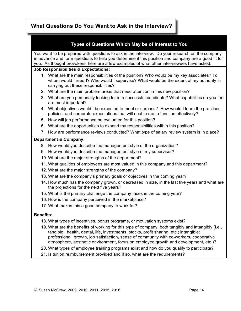## **What Questions Do You Want to Ask in the Interview?**

|                  | Types of Questions Which May be of Interest to You                                                                                                                                                                                                                                                                                                                            |  |  |
|------------------|-------------------------------------------------------------------------------------------------------------------------------------------------------------------------------------------------------------------------------------------------------------------------------------------------------------------------------------------------------------------------------|--|--|
|                  | You want to be prepared with questions to ask in the interview. Do your research on the company<br>in advance and form questions to help you determine if this position and company are a good fit for<br>you. As thought provokers, here are a few examples of what other interviewees have asked.                                                                           |  |  |
|                  | <b>Job Responsibilities &amp; Expectations:</b>                                                                                                                                                                                                                                                                                                                               |  |  |
|                  | 1. What are the main responsibilities of the position? Who would be my key associates? To<br>whom would I report? Who would I supervise? What would be the extent of my authority in<br>carrying out these responsibilities?                                                                                                                                                  |  |  |
|                  | 2. What are the main problem areas that need attention in this new position?                                                                                                                                                                                                                                                                                                  |  |  |
|                  | 3. What are you personally looking for in a successful candidate? What capabilities do you feel<br>are most important?                                                                                                                                                                                                                                                        |  |  |
|                  | 4. What objectives would I be expected to meet or surpass? How would I learn the practices,<br>policies, and corporate expectations that will enable me to function effectively?                                                                                                                                                                                              |  |  |
|                  | 5. How will job performance be evaluated for this position?                                                                                                                                                                                                                                                                                                                   |  |  |
|                  | 6. What are the opportunities to expand my responsibilities within this position?                                                                                                                                                                                                                                                                                             |  |  |
|                  | 7. How are performance reviews conducted? What type of salary review system is in place?                                                                                                                                                                                                                                                                                      |  |  |
|                  | <b>Department &amp; Company:</b>                                                                                                                                                                                                                                                                                                                                              |  |  |
|                  | 8. How would you describe the management style of the organization?                                                                                                                                                                                                                                                                                                           |  |  |
|                  | 9. How would you describe the management style of my supervisor?                                                                                                                                                                                                                                                                                                              |  |  |
|                  | 10. What are the major strengths of the department?                                                                                                                                                                                                                                                                                                                           |  |  |
|                  | 11. What qualities of employees are most valued in this company and this department?                                                                                                                                                                                                                                                                                          |  |  |
|                  | 12. What are the major strengths of the company?                                                                                                                                                                                                                                                                                                                              |  |  |
|                  | 13. What are the company's primary goals or objectives in the coming year?                                                                                                                                                                                                                                                                                                    |  |  |
|                  | 14. How much has the company grown, or decreased in size, in the last five years and what are<br>the projections for the next five years?                                                                                                                                                                                                                                     |  |  |
|                  | 15. What is the primary challenge the company faces in the coming year?                                                                                                                                                                                                                                                                                                       |  |  |
|                  | 16. How is the company perceived in the marketplace?                                                                                                                                                                                                                                                                                                                          |  |  |
|                  | 17. What makes this a good company to work for?                                                                                                                                                                                                                                                                                                                               |  |  |
| <b>Benefits:</b> |                                                                                                                                                                                                                                                                                                                                                                               |  |  |
|                  | 18. What types of incentives, bonus programs, or motivation systems exist?                                                                                                                                                                                                                                                                                                    |  |  |
|                  | 19. What are the benefits of working for this type of company, both tangibly and intangibly (i.e.,<br>tangible: health, dental, life, investments, stocks, profit sharing, etc.; intangible:<br>professional growth, job satisfaction, sense of community with co-workers, cooperative<br>atmosphere, aesthetic environment, focus on employee growth and development, etc.)? |  |  |
|                  | 20. What types of employee training programs exist and how do you qualify to participate?                                                                                                                                                                                                                                                                                     |  |  |

21. Is tuition reimbursement provided and if so, what are the requirements?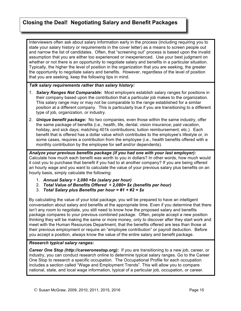## **Closing the Deal! Negotiating Salary and Benefit Packages**

Interviewers often ask about salary information early in the process (including requiring you to state your salary history or requirements in the cover letter) as a means to screen people out and narrow the list of candidates. Often, that "screening out" process is based upon the invalid assumption that you are either too experienced or inexperienced. Use your best judgment on whether or not there is an opportunity to negotiate salary and benefits in a particular situation. Typically, the higher the level of position in the organization that you are seeking, the greater the opportunity to negotiate salary and benefits. However, regardless of the level of position that you are seeking, keep the following tips in mind.

#### *Talk salary requirements rather than salary history:*

- 1. *Salary Ranges Not Comparable:* Most employers establish salary ranges for positions in their company based upon the contribution that a particular job makes to the organization. This salary range may or may not be comparable to the range established for a similar position at a different company. This is particularly true if you are transitioning to a different type of job, organization, or industry.
- 2. *Unique benefit package:* No two companies, even those within the same industry, offer the same package of benefits (i.e., health, life, dental, vision insurance; paid vacation, holiday, and sick days; matching 401k contributions; tuition reimbursement; etc.). Each benefit that is offered has a dollar value which contributes to the employee's lifestyle or, in some cases, requires a contribution from the employee (i.e., health benefits offered with a monthly contribution by the employee for self and/or dependents).

*Analyze your previous benefits package (if you had one with your last employer):* Calculate how much each benefit was worth to you in dollars? In other words, how much would it cost you to purchase that benefit if you had to at another company? If you are being offered an hourly wage and you want to calculate the value of your previous salary plus benefits on an hourly basis, simply calculate the following:

- 1. *Annual Salary ÷ 2,080 =\$x (salary per hour)*
- 2. *Total Value of Benefits Offered ÷ 2,080= \$x (benefits per hour)*
- 3. *Total Salary plus Benefits per hour = #1 + #2 = \$x*

By calculating the value of your total package, you will be prepared to have an intelligent conversation about salary and benefits at the appropriate time. Even if you determine that there isn't any room to negotiate, you still need to know how the proposed salary and benefits package compares to your previous combined package. Often, people accept a new position thinking they will be making the same or more money, only to discover after they start work and meet with the Human Resources Department, that the benefits offered are less than those at their previous employment or require an "employee contribution" or payroll deduction. Before you accept a position, always know the value of the entire salary and benefit package.

#### *Research typical salary ranges:*

**Career One Stop (http://careeronestop.org):** If you are transitioning to a new job, career, or industry, you can conduct research online to determine typical salary ranges. Go to the Career One Stop to research a specific occupation. The Occupational Profile for each occupation includes a section called "Wage and Employment Trends". This will allow you to compare national, state, and local wage information, typical of a particular job, occupation, or career.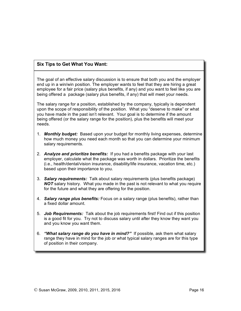### **Six Tips to Get What You Want:**

The goal of an effective salary discussion is to ensure that both you and the employer end up in a win/win position. The employer wants to feel that they are hiring a great employee for a fair price (salary plus benefits, if any) and you want to feel like you are being offered a package (salary plus benefits, if any) that will meet your needs.

The salary range for a position, established by the company, typically is dependent upon the scope of responsibility of the position. What you "deserve to make" or what you have made in the past isn't relevant. Your goal is to determine if the amount being offered (or the salary range for the position), plus the benefits will meet your needs.

- 1. *Monthly budget:* Based upon your budget for monthly living expenses, determine how much money you need each month so that you can determine your minimum salary requirements.
- 2. *Analyze and prioritize benefits:* If you had a benefits package with your last employer, calculate what the package was worth in dollars. Prioritize the benefits (i.e., health/dental/vision insurance, disability/life insurance, vacation time, etc.) based upon their importance to you.
- 3. *Salary requirements:* Talk about salary requirements (plus benefits package) *NOT* salary history. What you made in the past is not relevant to what you require for the future and what they are offering for the position.
- 4. *Salary range plus benefits:* Focus on a salary range (plus benefits), rather than a fixed dollar amount.
- 5. *Job Requirements:* Talk about the job requirements first! Find out if this position is a good fit for you. Try not to discuss salary until after they know they want you and you know you want them.
- 6. *"What salary range do you have in mind?"* If possible, ask them what salary range they have in mind for the job or what typical salary ranges are for this type of position in their company.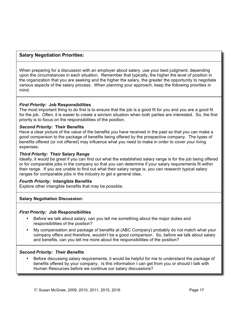#### **Salary Negotiation Priorities:**

When preparing for a discussion with an employer about salary, use your best judgment, depending upon the circumstances in each situation. Remember that typically, the higher the level of position in the organization that you are seeking and the higher the salary, the greater the opportunity to negotiate various aspects of the salary process. When planning your approach, keep the following priorities in mind.

#### *First Priority:* **Job Responsibilities**

The most important thing to do first is to ensure that the job is a good fit for you and you are a good fit for the job. Often, it is easier to create a win/win situation when both parties are interested. So, the first priority is to focus on the responsibilities of the position.

#### *Second Priority:* **Their Benefits**

Have a clear picture of the value of the benefits you have received in the past so that you can make a good comparison to the package of benefits being offered by the prospective company. The types of benefits offered (or not offered) may influence what you need to make in order to cover your living expenses.

#### *Third Priority:* **Their Salary Range**

Ideally, it would be great if you can find out what the established salary range is for the job being offered or for comparable jobs in the company so that you can determine if your salary requirements fit within their range. If you are unable to find out what their salary range is, you can research typical salary ranges for comparable jobs in the industry to get a general idea.

#### *Fourth Priority:* **Intangible Benefits**

Explore other intangible benefits that may be possible.

#### **Salary Negotiation Discussion:**

#### *First Priority: Job Responsibilities*

- Before we talk about salary, can you tell me something about the major duties and responsibilities of the position?
- My compensation and package of benefits at (ABC Company) probably do not match what your company offers and therefore, wouldn't be a good comparison. So, before we talk about salary and benefits, can you tell me more about the responsibilities of the position?

#### *Second Priority: Their Benefits*

• Before discussing salary requirements, it would be helpful for me to understand the package of benefits offered by your company. Is this information I can get from you or should I talk with Human Resources before we continue our salary discussions?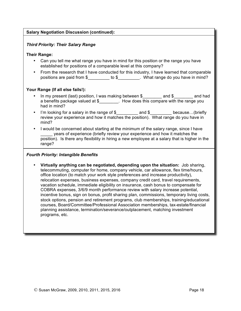#### **Salary Negotiation Discussion (continued):**

#### *Third Priority: Their Salary Range*

#### **Their Range:**

- Can you tell me what range you have in mind for this position or the range you have established for positions of a comparable level at this company?
- From the research that I have conducted for this industry, I have learned that comparable positions are paid from \$\_\_\_\_\_\_\_\_\_\_ to \$\_\_\_\_\_\_\_\_\_. What range do you have in mind?

#### **Your Range (If all else fails!):**

- In my present (last) position, I was making between \$ \_\_\_\_\_\_\_ and \$ \_\_\_\_\_\_ and had a benefits package valued at \$\_\_\_\_\_\_\_\_. How does this compare with the range you had in mind?
- I'm looking for a salary in the range of \$ and \$ because...(briefly review your experience and how it matches the position). What range do you have in mind?
- I would be concerned about starting at the minimum of the salary range, since I have years of experience (briefly review your experience and how it matches the position). Is there any flexibility in hiring a new employee at a salary that is higher in the range?

#### *Fourth Priority: Intangible Benefits*

• **Virtually anything can be negotiated, depending upon the situation:** Job sharing, telecommuting, computer for home, company vehicle, car allowance, flex time/hours, office location (to match your work style preferences and increase productivity), relocation expenses, business expenses, company credit card, travel requirements, vacation schedule, immediate eligibility on insurance, cash bonus to compensate for COBRA expenses, 3/6/9 month performance review with salary increase potential, incentive bonus, sign on bonus, profit sharing plan, commissions, temporary living costs, stock options, pension and retirement programs, club memberships, training/educational courses, Board/Committee/Professional Association memberships, tax-estate/financial planning assistance, termination/severance/outplacement, matching investment programs, etc.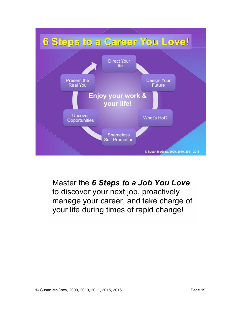

Master the *6 Steps to a Job You Love* to discover your next job, proactively manage your career, and take charge of your life during times of rapid change!